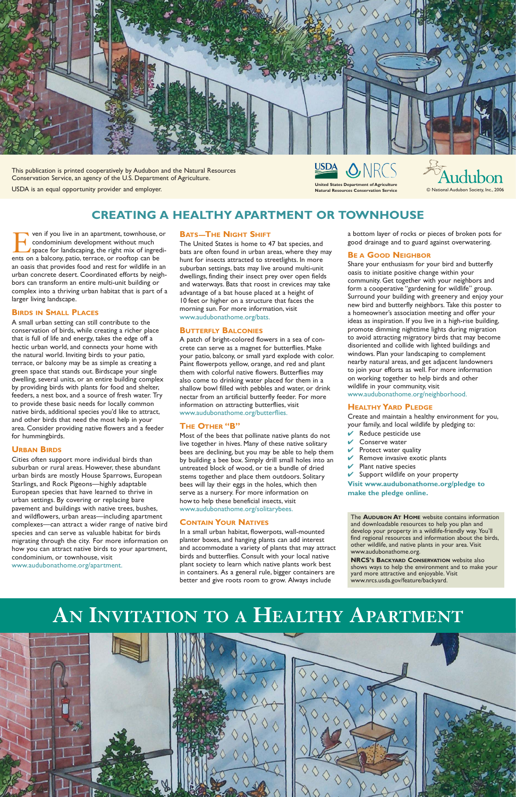For ven if you live in an apartment, townhouse, or<br>condominium development without much<br>space for landscaping, the right mix of ingredi-<br>ents on a balcony, patio, terrace, or rooftop can be condominium development without much space for landscaping, the right mix of ingredients on a balcony, patio, terrace, or rooftop can be an oasis that provides food and rest for wildlife in an urban concrete desert. Coordinated efforts by neighbors can transform an entire multi-unit building or complex into a thriving urban habitat that is part of a larger living landscape.

#### **BIRDS IN SMALL PLACES**

A small urban setting can still contribute to the conservation of birds, while creating a richer place that is full of life and energy, takes the edge off a hectic urban world, and connects your home with the natural world. Inviting birds to your patio, terrace, or balcony may be as simple as creating a green space that stands out. Birdscape your single dwelling, several units, or an entire building complex by providing birds with plants for food and shelter, feeders, a nest box, and a source of fresh water. Try to provide these basic needs for locally common native birds, additional species you'd like to attract, and other birds that need the most help in your area. Consider providing native flowers and a feeder for hummingbirds.

#### **URBAN BIRDS**

Cities often support more individual birds than suburban or rural areas. However, these abundant urban birds are mostly House Sparrows, European Starlings, and Rock Pigeons—highly adaptable European species that have learned to thrive in urban settings. By covering or replacing bare pavement and buildings with native trees, bushes, and wildflowers, urban areas—including apartment complexes—can attract a wider range of native bird species and can serve as valuable habitat for birds migrating through the city. For more information on how you can attract native birds to your apartment, condominium, or townhouse, visit www.audubonathome.org/apartment.

#### **BATS—THE NIGHT SHIFT**

The United States is home to 47 bat species, and bats are often found in urban areas, where they may hunt for insects attracted to streetlights. In more suburban settings, bats may live around multi-unit dwellings, finding their insect prey over open fields and waterways. Bats that roost in crevices may take advantage of a bat house placed at a height of 10 feet or higher on a structure that faces the morning sun. For more information, visit www.audubonathome.org/bats.

#### **BUTTERFLY BALCONIES**

A patch of bright-colored flowers in a sea of concrete can serve as a magnet for butterflies. Make your patio, balcony, or small yard explode with color. Paint flowerpots yellow, orange, and red and plant them with colorful native flowers. Butterflies may also come to drinking water placed for them in a shallow bowl filled with pebbles and water, or drink nectar from an artificial butterfly feeder. For more information on attracting butterflies, visit www.audubonathome.org/butterflies.

> and downloadable resources to help you plain and<br>develop your property in a wildlife-friendly way. You'll find regional resources and information about the birds, other wildlife, and native plants in your area. Visit www.audubonathome.org. www.audubonathome.org. The **AUDUBON AT HOME** website contains information and downloadable resources to help you plan and

#### **THE OTHER "B"**

**NRCS's BACKYARD CONSERVATION** website also shows ways to help the environment and to make your yard more attractive and enjoyable.<br>www.nrcs.usda.gov/feature/backyard. yard more attractive and enjoyable. Visit

Most of the bees that pollinate native plants do not live together in hives. Many of these native solitary bees are declining, but you may be able to help them by building a bee box. Simply drill small holes into an untreated block of wood, or tie a bundle of dried stems together and place them outdoors. Solitary bees will lay their eggs in the holes, which then serve as a nursery. For more information on how to help these beneficial insects, visit www.audubonathome.org/solitarybees.

#### **CONTAIN YOUR NATIVES**

In a small urban habitat, flowerpots, wall-mounted planter boxes, and hanging plants can add interest and accommodate a variety of plants that may attract birds and butterflies. Consult with your local native plant society to learn which native plants work best in containers. As a general rule, bigger containers are better and give roots room to grow. Always include

a bottom layer of rocks or pieces of broken pots for good drainage and to guard against overwatering.

#### **BE A GOOD NEIGHBOR**

Share your enthusiasm for your bird and butterfly oasis to initiate positive change within your community. Get together with your neighbors and form a cooperative "gardening for wildlife" group. Surround your building with greenery and enjoy your new bird and butterfly neighbors. Take this poster to a homeowner's association meeting and offer your ideas as inspiration. If you live in a high-rise building, promote dimming nighttime lights during migration to avoid attracting migratory birds that may become disoriented and collide with lighted buildings and windows. Plan your landscaping to complement nearby natural areas, and get adjacent landowners to join your efforts as well. For more information on working together to help birds and other wildlife in your community, visit

www.audubonathome.org/neighborhood.

#### **HEALTHY YARD PLEDGE**

Create and maintain a healthy environment for you, your family, and local wildlife by pledging to:

- $\vee$  Reduce pesticide use
- Conserve water
- Protect water quality
- $\vee$  Remove invasive exotic plants
- $\vee$  Plant native species
- $\vee$  Support wildlife on your property

**Visit www.audubonathome.org/pledge to make the pledge online.**

**CREATING A HEALTHY APARTMENT OR TOWNHOUSE**





This publication is printed cooperatively by Audubon and the Natural Resources Conservation Service, an agency of the U.S. Department of Agriculture.

USDA is an equal opportunity provider and employer.

## **AN INVITATION TO A HEALTHY APARTMENT**